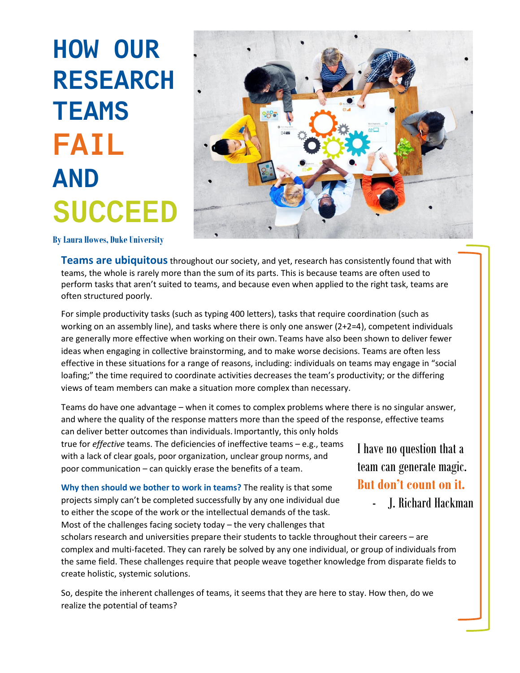# **HOW OUR RESEARCH TEAMS FAIL AND SUCCEED**



**By Laura Howes, Duke University**

**Teams are ubiquitous**throughout our society, and yet, research has consistently found that with teams, the whole is rarely more than the sum of its parts. This is because teams are often used to perform tasks that aren't suited to teams, and because even when applied to the right task, teams are often structured poorly.

For simple productivity tasks (such as typing 400 letters), tasks that require coordination (such as working on an assembly line), and tasks where there is only one answer (2+2=4), competent individuals are generally more effective when working on their own. Teams have also been shown to deliver fewer ideas when engaging in collective brainstorming, and to make worse decisions. Teams are often less effective in these situations for a range of reasons, including: individuals on teams may engage in "social loafing;" the time required to coordinate activities decreases the team's productivity; or the differing views of team members can make a situation more complex than necessary.

Teams do have one advantage – when it comes to complex problems where there is no singular answer, and where the quality of the response matters more than the speed of the response, effective teams can deliver better outcomes than individuals. Importantly, this only holds true for *effective* teams. The deficiencies of ineffective teams – e.g., teams with a lack of clear goals, poor organization, unclear group norms, and poor communication – can quickly erase the benefits of a team. I have no question that a

**Why then should we bother to work in teams?** The reality is that some projects simply can't be completed successfully by any one individual due to either the scope of the work or the intellectual demands of the task. Most of the challenges facing society today – the very challenges that

team can generate magic. **But don't count on it.**

- J. Richard Hackman

scholars research and universities prepare their students to tackle throughout their careers – are complex and multi-faceted. They can rarely be solved by any one individual, or group of individuals from the same field. These challenges require that people weave together knowledge from disparate fields to create holistic, systemic solutions.

So, despite the inherent challenges of teams, it seems that they are here to stay. How then, do we realize the potential of teams?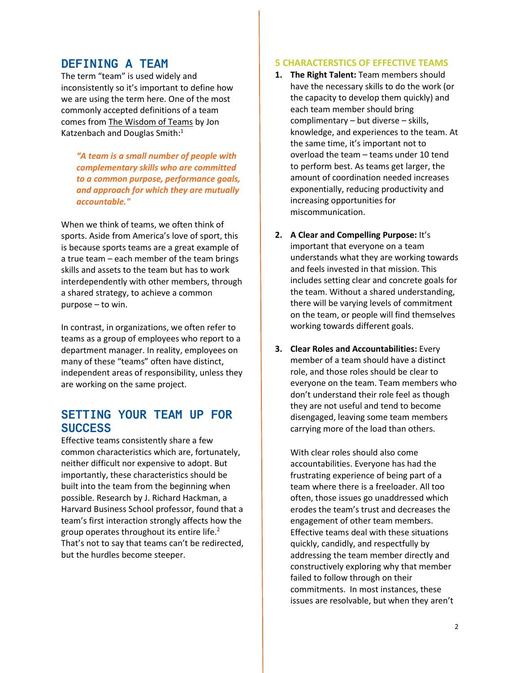# **DEFINING A TEAM**

The term "team" is used widely and inconsistently so it's important to define how we are using the term here. One of the most commonly accepted definitions of a team comes from The Wisdom of Teams by Jon Katzenbach and Douglas Smith: $1$ 

*"A team is a small number of people with complementary skills who are committed to a common purpose, performance goals, and approach for which they are mutually accountable."* 

When we think of teams, we often think of sports. Aside from America's love of sport, this is because sports teams are a great example of a true team – each member of the team brings skills and assets to the team but has to work interdependently with other members, through a shared strategy, to achieve a common purpose – to win.

In contrast, in organizations, we often refer to teams as a group of employees who report to a department manager. In reality, employees on many of these "teams" often have distinct, independent areas of responsibility, unless they are working on the same project.

## **SETTING YOUR TEAM UP FOR SUCCESS**

Effective teams consistently share a few common characteristics which are, fortunately, neither difficult nor expensive to adopt. But importantly, these characteristics should be built into the team from the beginning when possible. Research by J. Richard Hackman, a Harvard Business School professor, found that a team's first interaction strongly affects how the group operates throughout its entire life.<sup>2</sup> That's not to say that teams can't be redirected, but the hurdles become steeper.

## **5 CHARACTERSTICS OF EFFECTIVE TEAMS**

- **1. The Right Talent:** Team members should have the necessary skills to do the work (or the capacity to develop them quickly) and each team member should bring complimentary – but diverse – skills, knowledge, and experiences to the team. At the same time, it's important not to overload the team – teams under 10 tend to perform best. As teams get larger, the amount of coordination needed increases exponentially, reducing productivity and increasing opportunities for miscommunication.
- **2. A Clear and Compelling Purpose:** It's important that everyone on a team understands what they are working towards and feels invested in that mission. This includes setting clear and concrete goals for the team. Without a shared understanding, there will be varying levels of commitment on the team, or people will find themselves working towards different goals.
- **3. Clear Roles and Accountabilities:** Every member of a team should have a distinct role, and those roles should be clear to everyone on the team. Team members who don't understand their role feel as though they are not useful and tend to become disengaged, leaving some team members carrying more of the load than others.

With clear roles should also come accountabilities. Everyone has had the frustrating experience of being part of a team where there is a freeloader. All too often, those issues go unaddressed which erodes the team's trust and decreases the engagement of other team members. Effective teams deal with these situations quickly, candidly, and respectfully by addressing the team member directly and constructively exploring why that member failed to follow through on their commitments. In most instances, these issues are resolvable, but when they aren't